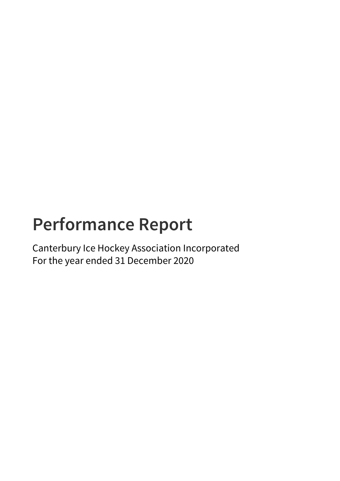# **Performance Report**

Canterbury Ice Hockey Association Incorporated For the year ended 31 December 2020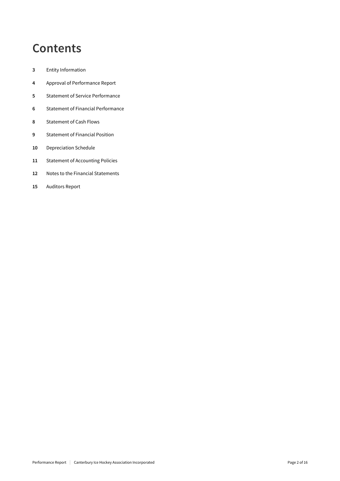## **Contents**

- Entity Information
- Approval of Performance Report
- Statement of Service Performance
- Statement of Financial Performance
- Statement of Cash Flows
- Statement of Financial Position
- Depreciation Schedule
- Statement of Accounting Policies
- Notes to the Financial Statements
- Auditors Report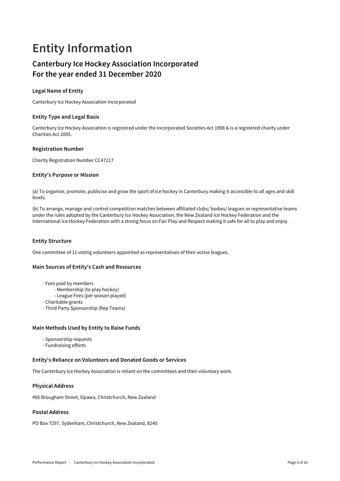## **Entity Information**

## **Canterbury Ice Hockey Association Incorporated For the year ended 31 December 2020**

## **Legal Name of Entity**

Canterbury Ice Hockey Association Incorporated

## **Entity Type and Legal Basis**

Canterbury Ice Hockey Association is registered under the Incorporated Societies Act 1908 & is a registered charity under Charities Act 2005.

## **Registration Number**

Charity Registration Number CC47217

## **Entity's Purpose or Mission**

(a) To organise, promote, publicise and grow the sport of ice hockey in Canterbury making it accessible to all ages and skill levels.

(b) To arrange, manage and control competition matches between affiliated clubs/ bodies/ leagues or representative teams under the rules adopted by the Canterbury Ice Hockey Association, the New Zealand Ice Hockey Federation and the International Ice Hockey Federation with a strong focus on Fair Play and Respect making it safe for all to play and enjoy.

## **Entity Structure**

One committee of 11 voting volunteers appointed as representatives of their active leagues.

## **Main Sources of Entity's Cash and Resources**

- Fees paid by members
	- Membership (to play hockey)
	- League Fees (per season played)
- Charitable grants
- Third Party Sponsorship (Rep Teams)

## **Main Methods Used by Entity to Raise Funds**

- Sponsorship requests
- Fundraising efforts

## **Entity's Reliance on Volunteers and Donated Goods or Services**

The Canterbury Ice Hockey Association is reliant on the committees and their voluntary work.

## **Physical Address**

495 Brougham Street, Opawa, Christchurch, New Zealand

## **Postal Address**

PO Box 7297, Sydenham, Christchurch, New Zealand, 8240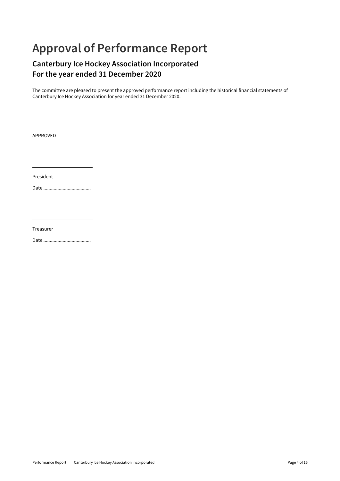## **Approval of Performance Report**

## **Canterbury Ice Hockey Association Incorporated For the year ended 31 December 2020**

The committee are pleased to present the approved performance report including the historical financial statements of Canterbury Ice Hockey Association for year ended 31 December 2020.

APPROVED

President

Date .....................................

Treasurer

Date .....................................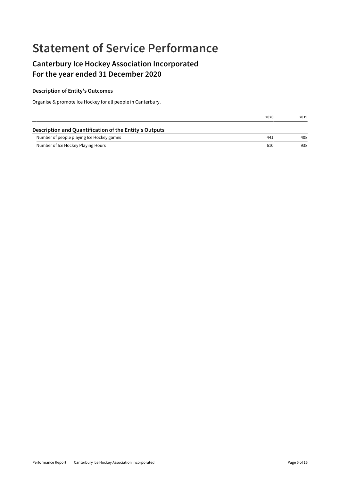## **Statement of Service Performance**

## **Canterbury Ice Hockey Association Incorporated For the year ended 31 December 2020**

## **Description of Entity's Outcomes**

Organise & promote Ice Hockey for all people in Canterbury.

|                                                        | 2020 | 2019 |
|--------------------------------------------------------|------|------|
| Description and Quantification of the Entity's Outputs |      |      |
| Number of people playing Ice Hockey games              | 441  | 408  |
| Number of Ice Hockey Playing Hours                     | 610  | 938  |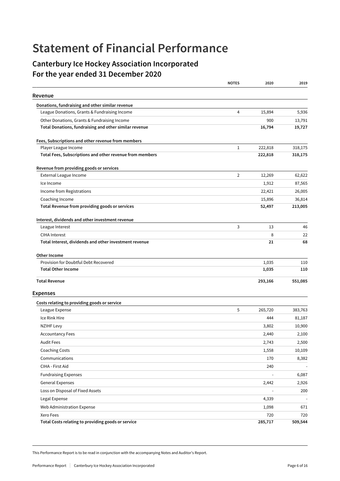## **Statement of Financial Performance**

## **Canterbury Ice Hockey Association Incorporated For the year ended 31 December 2020**

|                                                          | <b>NOTES</b>   | 2020    | 2019    |
|----------------------------------------------------------|----------------|---------|---------|
| Revenue                                                  |                |         |         |
| Donations, fundraising and other similar revenue         |                |         |         |
| League Donations, Grants & Fundraising Income            | 4              | 15,894  | 5,936   |
| Other Donations, Grants & Fundraising Income             |                | 900     | 13,791  |
| Total Donations, fundraising and other similar revenue   |                | 16,794  | 19,727  |
| Fees, Subscriptions and other revenue from members       |                |         |         |
| Player League Income                                     | $\mathbf{1}$   | 222,818 | 318,175 |
| Total Fees, Subscriptions and other revenue from members |                | 222,818 | 318,175 |
| Revenue from providing goods or services                 |                |         |         |
| External League Income                                   | $\overline{2}$ | 12,269  | 62,622  |
| Ice Income                                               |                | 1,912   | 87,565  |
| Income from Registrations                                |                | 22,421  | 26,005  |
| Coaching Income                                          |                | 15,896  | 36,814  |
| Total Revenue from providing goods or services           |                | 52,497  | 213,005 |
| Interest, dividends and other investment revenue         |                |         |         |
| League Interest                                          | 3              | 13      | 46      |
| <b>CIHA Interest</b>                                     |                | 8       | 22      |
| Total Interest, dividends and other investment revenue   |                | 21      | 68      |
| Other Income                                             |                |         |         |
| Provision for Doubtful Debt Recovered                    |                | 1,035   | 110     |
| <b>Total Other Income</b>                                |                | 1,035   | 110     |
| <b>Total Revenue</b>                                     |                | 293,166 | 551,085 |
| <b>Expenses</b>                                          |                |         |         |
| Costs relating to providing goods or service             |                |         |         |
| League Expense                                           | 5              | 265,720 | 383,763 |
| Ice Rink Hire                                            |                | 444     | 81,187  |
| <b>NZIHF Levy</b>                                        |                | 3,802   | 10,900  |
| <b>Accountancy Fees</b>                                  |                | 2,440   | 2,100   |
| <b>Audit Fees</b>                                        |                | 2,743   | 2,500   |
| <b>Coaching Costs</b>                                    |                | 1,558   | 10,109  |
| Communications                                           |                | 170     | 8,382   |
| CIHA - First Aid                                         |                | 240     |         |
| <b>Fundraising Expenses</b>                              |                | ÷       | 6,087   |
| <b>General Expenses</b>                                  |                | 2,442   | 2,926   |
| Loss on Disposal of Fixed Assets                         |                | ÷,      | 200     |
| Legal Expense                                            |                | 4,339   |         |
| Web Administration Expense                               |                | 1,098   | 671     |
| Xero Fees                                                |                | 720     | 720     |
| Total Costs relating to providing goods or service       |                | 285,717 | 509,544 |

This Performance Report is to be read in conjunction with the accompanying Notes and Auditor's Report.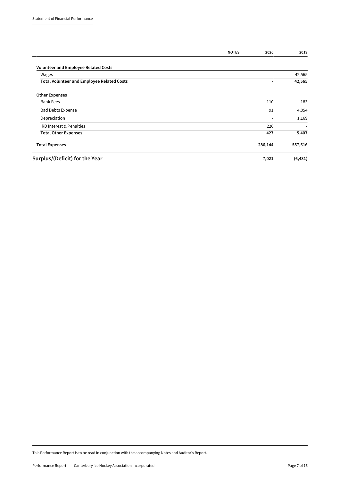|                                                   | <b>NOTES</b> | 2020                     | 2019                     |
|---------------------------------------------------|--------------|--------------------------|--------------------------|
| <b>Volunteer and Employee Related Costs</b>       |              |                          |                          |
| Wages                                             |              |                          | 42,565                   |
| <b>Total Volunteer and Employee Related Costs</b> |              | $\blacksquare$           | 42,565                   |
| <b>Other Expenses</b>                             |              |                          |                          |
| <b>Bank Fees</b>                                  |              | 110                      | 183                      |
| <b>Bad Debts Expense</b>                          |              | 91                       | 4,054                    |
| Depreciation                                      |              | $\overline{\phantom{a}}$ | 1,169                    |
| IRD Interest & Penalties                          |              | 226                      | $\overline{\phantom{a}}$ |
| <b>Total Other Expenses</b>                       |              | 427                      | 5,407                    |
| <b>Total Expenses</b>                             |              | 286,144                  | 557,516                  |
| Surplus/(Deficit) for the Year                    |              | 7,021                    | (6, 431)                 |

This Performance Report is to be read in conjunction with the accompanying Notes and Auditor's Report.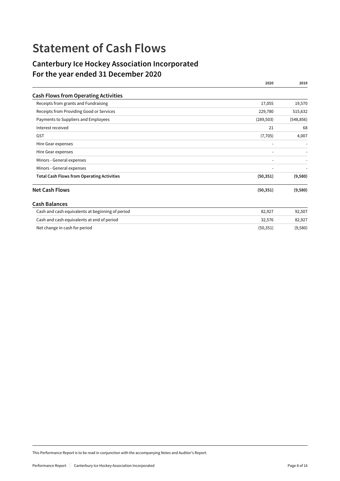## **Statement of Cash Flows**

## **Canterbury Ice Hockey Association Incorporated For the year ended 31 December 2020**

|                                                   | 2020       | 2019       |
|---------------------------------------------------|------------|------------|
| <b>Cash Flows from Operating Activities</b>       |            |            |
| Receipts from grants and Fundraising              | 17,055     | 19,570     |
| Receipts from Providing Good or Services          | 229,780    | 515,632    |
| Payments to Suppliers and Employees               | (289, 503) | (548, 856) |
| Interest received                                 | 21         | 68         |
| <b>GST</b>                                        | (7, 705)   | 4,007      |
| Hire Gear expenses                                |            |            |
| Hire Gear expenses                                |            |            |
| Minors - General expenses                         |            |            |
| Minors - General expenses                         |            |            |
| <b>Total Cash Flows from Operating Activities</b> | (50, 351)  | (9,580)    |
| <b>Net Cash Flows</b>                             | (50, 351)  | (9,580)    |
| <b>Cash Balances</b>                              |            |            |
| Cash and cash equivalents at beginning of period  | 82,927     | 92,507     |
| Cash and cash equivalents at end of period        | 32,576     | 82,927     |
| Net change in cash for period                     | (50, 351)  | (9,580)    |

This Performance Report is to be read in conjunction with the accompanying Notes and Auditor's Report.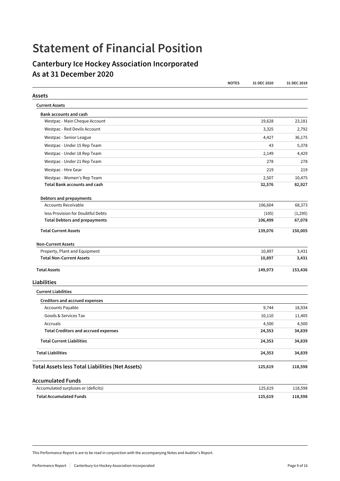## **Statement of Financial Position**

## **Canterbury Ice Hockey Association Incorporated As at 31 December 2020**

|                                                         | <b>NOTES</b> | 31 DEC 2020 | 31 DEC 2019 |
|---------------------------------------------------------|--------------|-------------|-------------|
| Assets                                                  |              |             |             |
| <b>Current Assets</b>                                   |              |             |             |
| <b>Bank accounts and cash</b>                           |              |             |             |
| Westpac - Main Cheque Account                           |              | 19,628      | 23,181      |
| Westpac - Red Devils Account                            |              | 3,325       | 2,792       |
| Westpac - Senior League                                 |              | 4,427       | 36,175      |
| Westpac - Under 15 Rep Team                             |              | 43          | 5,378       |
| Westpac - Under 18 Rep Team                             |              | 2,149       | 4,429       |
| Westpac - Under 21 Rep Team                             |              | 278         | 278         |
| Westpac - Hire Gear                                     |              | 219         | 219         |
| Westpac - Women's Rep Team                              |              | 2,507       | 10,475      |
| <b>Total Bank accounts and cash</b>                     |              | 32,576      | 82,927      |
| Debtors and prepayments                                 |              |             |             |
| <b>Accounts Receivable</b>                              |              | 106,604     | 68,373      |
| less Provision for Doubtful Debts                       |              | (105)       | (1, 295)    |
| <b>Total Debtors and prepayments</b>                    |              | 106,499     | 67,078      |
| <b>Total Current Assets</b>                             |              | 139,076     | 150,005     |
| <b>Non-Current Assets</b>                               |              |             |             |
| Property, Plant and Equipment                           |              | 10,897      | 3,431       |
| <b>Total Non-Current Assets</b>                         |              | 10,897      | 3,431       |
| <b>Total Assets</b>                                     |              | 149,973     | 153,436     |
| Liabilities                                             |              |             |             |
| <b>Current Liabilities</b>                              |              |             |             |
| <b>Creditors and accrued expenses</b>                   |              |             |             |
| <b>Accounts Payable</b>                                 |              | 9,744       | 18,934      |
| Goods & Services Tax                                    |              | 10,110      | 11,405      |
| Accruals                                                |              | 4,500       | 4,500       |
| <b>Total Creditors and accrued expenses</b>             |              | 24,353      | 34,839      |
| <b>Total Current Liabilities</b>                        |              | 24,353      | 34,839      |
| <b>Total Liabilities</b>                                |              | 24,353      | 34,839      |
| <b>Total Assets less Total Liabilities (Net Assets)</b> |              | 125,619     | 118,598     |
| <b>Accumulated Funds</b>                                |              |             |             |
| Accumulated surpluses or (deficits)                     |              | 125,619     | 118,598     |
| <b>Total Accumulated Funds</b>                          |              | 125,619     | 118,598     |

This Performance Report is are to be read in conjunction with the accompanying Notes and Auditor's Report.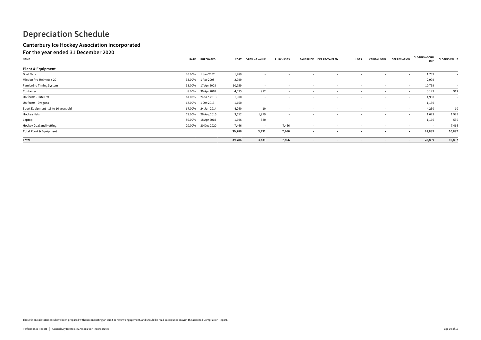These financial statements have been prepared without conducting an audit or review engagement, and should be read in conjunction with the attached Compilation Report.

## **Depreciation Schedule**

## **Canterbury Ice Hockey Association Incorporated**

## **For the year ended 31 December 2020**

| .<br>___<br>$ -$<br><b>NAME</b>      | <b>RATE</b> | <b>PURCHASED</b> | COST   | <b>OPENING VALUE</b> | <b>PURCHASES</b>         |                          | SALE PRICE DEP RECOVERED | LOSS                     | <b>CAPITAL GAIN</b> | <b>DEPRECIATION</b> | <b>CLOSING ACCUM</b><br><b>DEP</b> | <b>CLOSING VALUE</b>     |
|--------------------------------------|-------------|------------------|--------|----------------------|--------------------------|--------------------------|--------------------------|--------------------------|---------------------|---------------------|------------------------------------|--------------------------|
| <b>Plant &amp; Equipment</b>         |             |                  |        |                      |                          |                          |                          |                          |                     |                     |                                    |                          |
| Goal Nets                            | 20.00%      | 1 Jan 2002       | 1,789  |                      |                          |                          |                          |                          |                     | $\sim$              | 1,789                              | $\overline{\phantom{a}}$ |
| Mission Pro Helmets x 20             | 33.00%      | 1 Apr 2008       | 2,999  | $\sim$               |                          |                          |                          | $\overline{\phantom{0}}$ | $\sim$              | $\sim$              | 2,999                              | $\overline{\phantom{a}}$ |
| FamiceEro Timing System              | 33.00%      | 17 Apr 2008      | 10,759 | $\sim$ $ \sim$       | $\sim$                   | $\sim$                   | $\sim$                   | $\sim$                   | $\sim$              | $\sim$              | 10,759                             | $\overline{\phantom{a}}$ |
| Container                            | 8.00%       | 30 Apr 2010      | 4,035  | 912                  | $\sim$                   | $\overline{\phantom{0}}$ | $\sim$                   | $\sim$                   | $\sim$              | $\sim$              | 3,123                              | 912                      |
| Uniforms - Elite HW                  | 67.00%      | 24 Sep 2013      | 1,980  | $\sim$               |                          | $\sim$                   | $\sim$                   | $\sim$                   | $\sim$              | $\sim$              | 1,980                              | $\overline{\phantom{a}}$ |
| Uniforms - Dragons                   | 67.00%      | 1 Oct 2013       | 1,150  |                      |                          |                          | $\sim$                   | $\sim$                   | $\sim$              | $\sim$              | 1,150                              | $\overline{\phantom{a}}$ |
| Sport Equipment - 13 to 16 years old | 67.00%      | 24 Jun 2014      | 4,260  | 10                   |                          |                          |                          |                          | $\sim$              | $\sim$              | 4,250                              | 10                       |
| Hockey Nets                          | 13.00%      | 26 Aug 2015      | 3,652  | 1,979                | $\overline{\phantom{a}}$ |                          | $\sim$                   | $\overline{\phantom{0}}$ | $\sim$              | $\sim$              | 1,673                              | 1,979                    |
| Laptop                               | 50.00%      | 18 Apr 2018      | 1,696  | 530                  | $\sim$                   | $\sim$                   | $\sim$                   | $\sim$                   | $\sim$ $-$          | $\sim$              | 1,166                              | 530                      |
| Hockey Goal and Netting              | 20.00%      | 30 Dec 2020      | 7,466  | $\sim$               | 7,466                    | $\sim$                   | $\sim$                   | $\overline{\phantom{0}}$ | $\sim$              | $\sim$              | $\sim$                             | 7,466                    |
| <b>Total Plant &amp; Equipment</b>   |             |                  | 39,786 | 3,431                | 7,466                    | $\overline{\phantom{a}}$ | $\sim$                   | $\overline{\phantom{a}}$ | $\sim$              | $\sim$              | 28,889                             | 10,897                   |
| Total                                |             |                  | 39,786 | 3,431                | 7,466                    | $\blacksquare$           | $\sim$                   | $\sim$                   | $\sim$              | $\sim$              | 28,889                             | 10,897                   |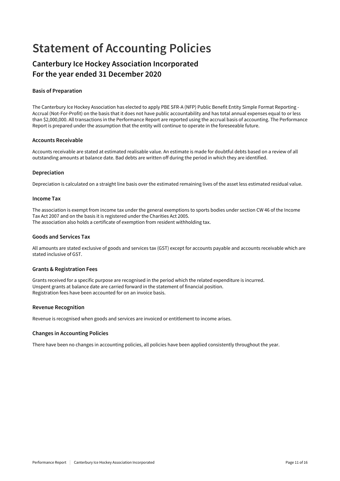## **Statement of Accounting Policies**

## **Canterbury Ice Hockey Association Incorporated For the year ended 31 December 2020**

## **Basis of Preparation**

The Canterbury Ice Hockey Association has elected to apply PBE SFR-A (NFP) Public Benefit Entity Simple Format Reporting - Accrual (Not-For-Profit) on the basis that it does not have public accountability and has total annual expenses equal to or less than \$2,000,000. All transactions in the Performance Report are reported using the accrual basis of accounting. The Performance Report is prepared under the assumption that the entity will continue to operate in the foreseeable future.

#### **Accounts Receivable**

Accounts receivable are stated at estimated realisable value. An estimate is made for doubtful debts based on a review of all outstanding amounts at balance date. Bad debts are written off during the period in which they are identified.

## **Depreciation**

Depreciation is calculated on a straight line basis over the estimated remaining lives of the asset less estimated residual value.

#### **Income Tax**

The association is exempt from income tax under the general exemptions to sports bodies under section CW 46 of the Income Tax Act 2007 and on the basis it is registered under the Charities Act 2005. The association also holds a certificate of exemption from resident withholding tax.

## **Goods and Services Tax**

All amounts are stated exclusive of goods and services tax (GST) except for accounts payable and accounts receivable which are stated inclusive of GST.

## **Grants & Registration Fees**

Grants received for a specific purpose are recognised in the period which the related expenditure is incurred. Unspent grants at balance date are carried forward in the statement of financial position. Registration fees have been accounted for on an invoice basis.

## **Revenue Recognition**

Revenue is recognised when goods and services are invoiced or entitlement to income arises.

## **Changes in Accounting Policies**

There have been no changes in accounting policies, all policies have been applied consistently throughout the year.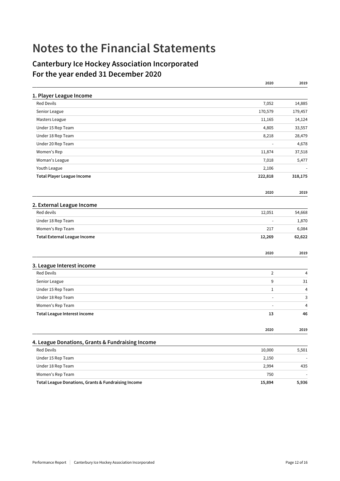## **Notes to the Financial Statements**

## **Canterbury Ice Hockey Association Incorporated For the year ended 31 December 2020**

|                                                     | 2020                     | 2019                     |
|-----------------------------------------------------|--------------------------|--------------------------|
| 1. Player League Income                             |                          |                          |
| <b>Red Devils</b>                                   | 7,052                    | 14,885                   |
| Senior League                                       | 170,579                  | 179,457                  |
| Masters League                                      | 11,165                   | 14,124                   |
| Under 15 Rep Team                                   | 4,805                    | 33,557                   |
| Under 18 Rep Team                                   | 8,218                    | 28,479                   |
| Under 20 Rep Team                                   | $\overline{\phantom{a}}$ | 4,678                    |
| Women's Rep                                         | 11,874                   | 37,518                   |
| Woman's League                                      | 7,018                    | 5,477                    |
| Youth League                                        | 2,106                    |                          |
| <b>Total Player League Income</b>                   | 222,818                  | 318,175                  |
|                                                     | 2020                     | 2019                     |
| 2. External League Income                           |                          |                          |
| Red devils                                          | 12,051                   | 54,668                   |
| Under 18 Rep Team                                   | $\overline{\phantom{a}}$ | 1,870                    |
| Women's Rep Team                                    | 217                      | 6,084                    |
| <b>Total External League Income</b>                 | 12,269                   | 62,622                   |
|                                                     | 2020                     | 2019                     |
| 3. League Interest income                           |                          |                          |
| <b>Red Devils</b>                                   | $\overline{2}$           | 4                        |
| Senior League                                       | 9                        | 31                       |
| Under 15 Rep Team                                   | $\mathbf{1}$             | 4                        |
| Under 18 Rep Team                                   | $\sim$                   | 3                        |
| Women's Rep Team                                    | ÷,                       | 4                        |
| <b>Total League Interest income</b>                 | 13                       | 46                       |
|                                                     | 2020                     | 2019                     |
| 4. League Donations, Grants & Fundraising Income    |                          |                          |
| Red Devils                                          | 10,000                   | 5,501                    |
| Under 15 Rep Team                                   | 2,150                    |                          |
| Under 18 Rep Team                                   | 2,994                    | 435                      |
| Women's Rep Team                                    | 750                      | $\overline{\phantom{a}}$ |
| Total League Donations, Grants & Fundraising Income | 15,894                   | 5,936                    |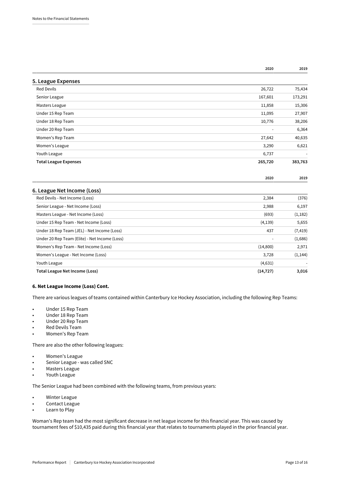|                                               | 2020           | 2019     |
|-----------------------------------------------|----------------|----------|
| 5. League Expenses                            |                |          |
| <b>Red Devils</b>                             | 26,722         | 75,434   |
| Senior League                                 | 167,601        | 173,291  |
| Masters League                                | 11,858         | 15,306   |
| Under 15 Rep Team                             | 11,095         | 27,907   |
| Under 18 Rep Team                             | 10,776         | 38,206   |
| Under 20 Rep Team                             | $\blacksquare$ | 6,364    |
| Women's Rep Team                              | 27,642         | 40,635   |
| Women's League                                | 3,290          | 6,621    |
| Youth League                                  | 6,737          |          |
| <b>Total League Expenses</b>                  | 265,720        | 383,763  |
|                                               | 2020           | 2019     |
| 6. League Net Income (Loss)                   |                |          |
| Red Devils - Net Income (Loss)                | 2,384          | (376)    |
| Senior League - Net Income (Loss)             | 2,988          | 6,197    |
| Masters League - Net Income (Loss)            | (693)          | (1, 182) |
| Under 15 Rep Team - Net Income (Loss)         | (4, 139)       | 5,655    |
| Under 18 Rep Team (JEL) - Net Income (Loss)   | 437            | (7, 419) |
| Under 20 Rep Team (Elite) - Net Income (Loss) | $\blacksquare$ | (1,686)  |
| Women's Rep Team - Net Income (Loss)          | (14,800)       | 2,971    |
| Women's League - Net Income (Loss)            | 3,728          | (1, 144) |
| Youth League                                  | (4,631)        |          |

**Total League Net Income (Loss) (14,727) 3,016**

### 6. Net League Income (Loss) Cont.

There are various leagues of teams contained within Canterbury Ice Hockey Association, including the following Rep Teams:

- Under 15 Rep Team
- Under 18 Rep Team
- Under 20 Rep Team
- Red Devils Team
- Women's Rep Team

There are also the other following leagues:

- Women's League
- Senior League was called SNC
- Masters League
- Youth League

The Senior League had been combined with the following teams, from previous years:

- Winter League
- Contact League
- Learn to Play

Woman's Rep team had the most significant decrease in net league income for this financial year. This was caused by tournament fees of \$10,435 paid during this financial year that relates to tournaments played in the prior financial year.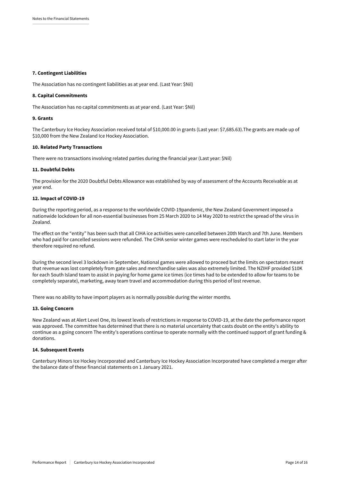#### 7. Contingent Liabilities

The Association has no contingent liabilities as at year end. (Last Year: \$Nil)

#### 8. Capital Commitments

The Association has no capital commitments as at year end. (Last Year: \$Nil)

#### 9. Grants

The Canterbury Ice Hockey Association received total of \$10,000.00 in grants (Last year: \$7,685.63).The grants are made up of \$10,000 from the New Zealand Ice Hockey Association.

#### 10. Related Party Transactions

There were no transactions involving related parties during the financial year (Last year: \$Nil)

#### 11. Doubtful Debts

The provision for the 2020 Doubtful Debts Allowance was established by way of assessment of the Accounts Receivable as at year end.

#### 12. Impact of COVID-19

During the reporting period, as a response to the worldwide COVID-19pandemic, the New Zealand Government imposed a nationwide lockdown for all non-essential businesses from 25 March 2020 to 14 May 2020 to restrict the spread of the virus in Zealand.

The effect on the "entity" has been such that all CIHA ice activities were cancelled between 20th March and 7th June. Members who had paid for cancelled sessions were refunded. The CIHA senior winter games were rescheduled to start later in the year therefore required no refund.

During the second level 3 lockdown in September, National games were allowed to proceed but the limits on spectators meant that revenue was lost completely from gate sales and merchandise sales was also extremely limited. The NZIHF provided \$10K for each South Island team to assist in paying for home game ice times (ice times had to be extended to allow for teams to be completely separate), marketing, away team travel and accommodation during this period of lost revenue.

There was no ability to have import players as is normally possible during the winter months*.*

#### 13. Going Concern

New Zealand was at Alert Level One, its lowest levels of restrictions in response to COVID-19, at the date the performance report was approved. The committee has determined that there is no material uncertainty that casts doubt on the entity's ability to continue as a going concern The entity's operations continue to operate normally with the continued support of grant funding & donations.

#### 14. Subsequent Events

Canterbury Minors Ice Hockey Incorporated and Canterbury Ice Hockey Association Incorporated have completed a merger after the balance date of these financial statements on 1 January 2021.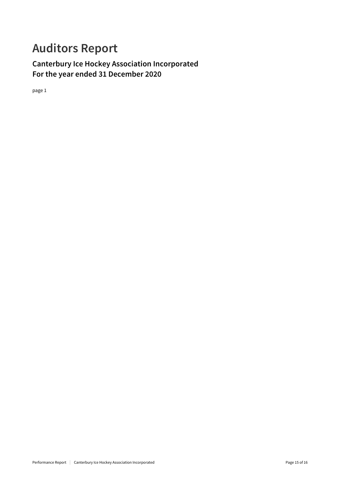## **Auditors Report**

**Canterbury Ice Hockey Association Incorporated For the year ended 31 December 2020**

page 1